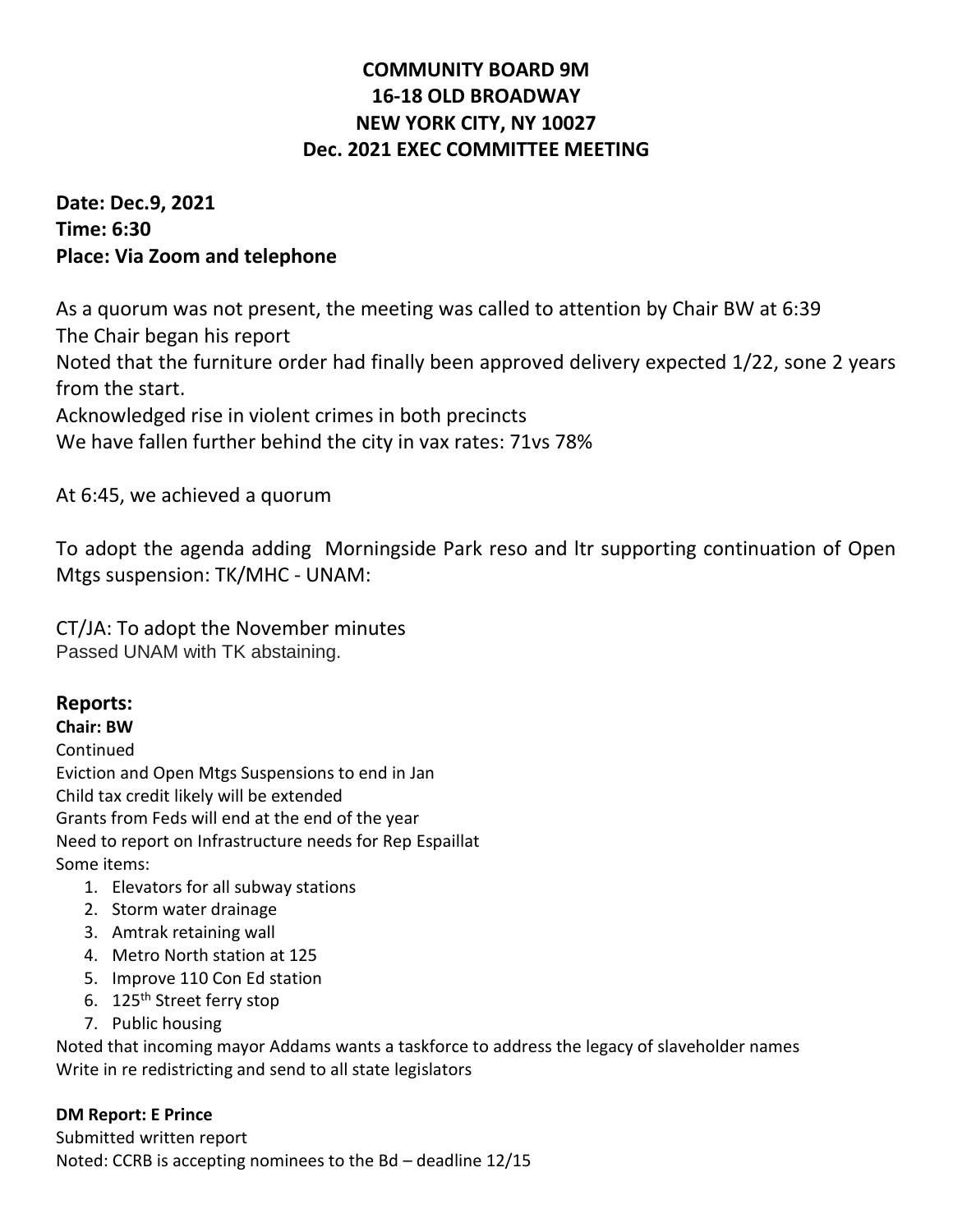# **COMMUNITY BOARD 9M 16-18 OLD BROADWAY NEW YORK CITY, NY 10027 Dec. 2021 EXEC COMMITTEE MEETING**

**Date: Dec.9, 2021 Time: 6:30 Place: Via Zoom and telephone**

As a quorum was not present, the meeting was called to attention by Chair BW at 6:39 The Chair began his report Noted that the furniture order had finally been approved delivery expected 1/22, sone 2 years from the start. Acknowledged rise in violent crimes in both precincts We have fallen further behind the city in vax rates: 71vs 78%

At 6:45, we achieved a quorum

To adopt the agenda adding Morningside Park reso and ltr supporting continuation of Open Mtgs suspension: TK/MHC - UNAM:

CT/JA: To adopt the November minutes Passed UNAM with TK abstaining.

# **Reports:**

**Chair: BW** Continued Eviction and Open Mtgs Suspensions to end in Jan Child tax credit likely will be extended Grants from Feds will end at the end of the year Need to report on Infrastructure needs for Rep Espaillat Some items:

- 1. Elevators for all subway stations
- 2. Storm water drainage
- 3. Amtrak retaining wall
- 4. Metro North station at 125
- 5. Improve 110 Con Ed station
- 6. 125<sup>th</sup> Street ferry stop
- 7. Public housing

Noted that incoming mayor Addams wants a taskforce to address the legacy of slaveholder names Write in re redistricting and send to all state legislators

**DM Report: E Prince** Submitted written report Noted: CCRB is accepting nominees to the Bd – deadline 12/15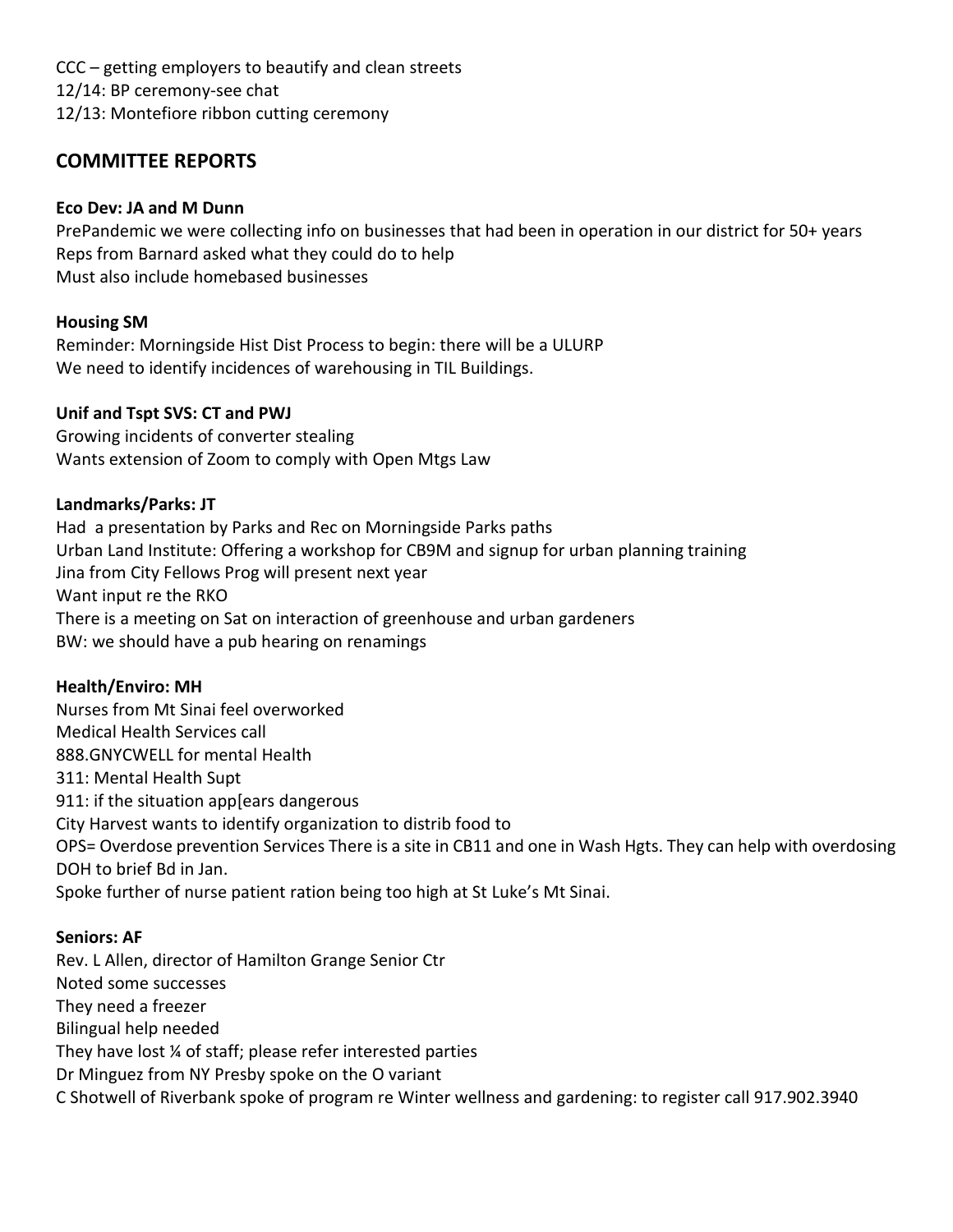CCC – getting employers to beautify and clean streets 12/14: BP ceremony-see chat 12/13: Montefiore ribbon cutting ceremony

# **COMMITTEE REPORTS**

#### **Eco Dev: JA and M Dunn**

PrePandemic we were collecting info on businesses that had been in operation in our district for 50+ years Reps from Barnard asked what they could do to help Must also include homebased businesses

## **Housing SM**

Reminder: Morningside Hist Dist Process to begin: there will be a ULURP We need to identify incidences of warehousing in TIL Buildings.

#### **Unif and Tspt SVS: CT and PWJ**

Growing incidents of converter stealing Wants extension of Zoom to comply with Open Mtgs Law

#### **Landmarks/Parks: JT**

Had a presentation by Parks and Rec on Morningside Parks paths Urban Land Institute: Offering a workshop for CB9M and signup for urban planning training Jina from City Fellows Prog will present next year Want input re the RKO There is a meeting on Sat on interaction of greenhouse and urban gardeners BW: we should have a pub hearing on renamings

## **Health/Enviro: MH**

Nurses from Mt Sinai feel overworked Medical Health Services call 888.GNYCWELL for mental Health 311: Mental Health Supt 911: if the situation app[ears dangerous City Harvest wants to identify organization to distrib food to OPS= Overdose prevention Services There is a site in CB11 and one in Wash Hgts. They can help with overdosing DOH to brief Bd in Jan. Spoke further of nurse patient ration being too high at St Luke's Mt Sinai.

#### **Seniors: AF**

Rev. L Allen, director of Hamilton Grange Senior Ctr Noted some successes They need a freezer Bilingual help needed They have lost ¼ of staff; please refer interested parties Dr Minguez from NY Presby spoke on the O variant C Shotwell of Riverbank spoke of program re Winter wellness and gardening: to register call 917.902.3940